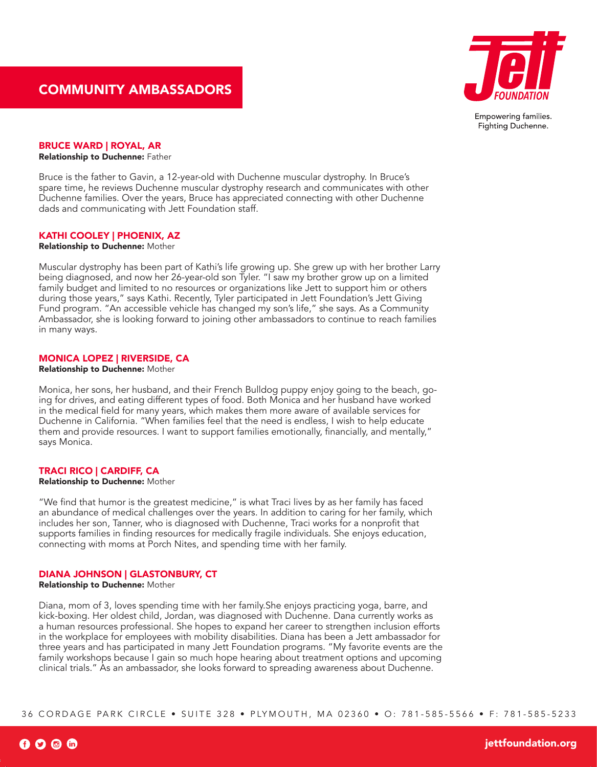

# BRUCE WARD | ROYAL, AR

Relationship to Duchenne: Father

Bruce is the father to Gavin, a 12-year-old with Duchenne muscular dystrophy. In Bruce's spare time, he reviews Duchenne muscular dystrophy research and communicates with other Duchenne families. Over the years, Bruce has appreciated connecting with other Duchenne dads and communicating with Jett Foundation staff.

# KATHI COOLEY | PHOENIX, AZ

Relationship to Duchenne: Mother

Muscular dystrophy has been part of Kathi's life growing up. She grew up with her brother Larry being diagnosed, and now her 26-year-old son Tyler. "I saw my brother grow up on a limited family budget and limited to no resources or organizations like Jett to support him or others during those years," says Kathi. Recently, Tyler participated in Jett Foundation's Jett Giving Fund program. "An accessible vehicle has changed my son's life," she says. As a Community Ambassador, she is looking forward to joining other ambassadors to continue to reach families in many ways.

## MONICA LOPEZ | RIVERSIDE, CA

Relationship to Duchenne: Mother

Monica, her sons, her husband, and their French Bulldog puppy enjoy going to the beach, going for drives, and eating different types of food. Both Monica and her husband have worked in the medical field for many years, which makes them more aware of available services for Duchenne in California. "When families feel that the need is endless, I wish to help educate them and provide resources. I want to support families emotionally, financially, and mentally," says Monica.

## TRACI RICO | CARDIFF, CA

#### Relationship to Duchenne: Mother

"We find that humor is the greatest medicine," is what Traci lives by as her family has faced an abundance of medical challenges over the years. In addition to caring for her family, which includes her son, Tanner, who is diagnosed with Duchenne, Traci works for a nonprofit that supports families in finding resources for medically fragile individuals. She enjoys education, connecting with moms at Porch Nites, and spending time with her family.

## DIANA JOHNSON | GLASTONBURY, CT

Relationship to Duchenne: Mother

Diana, mom of 3, loves spending time with her family.She enjoys practicing yoga, barre, and kick-boxing. Her oldest child, Jordan, was diagnosed with Duchenne. Dana currently works as a human resources professional. She hopes to expand her career to strengthen inclusion efforts in the workplace for employees with mobility disabilities. Diana has been a Jett ambassador for three years and has participated in many Jett Foundation programs. "My favorite events are the family workshops because I gain so much hope hearing about treatment options and upcoming clinical trials." As an ambassador, she looks forward to spreading awareness about Duchenne.

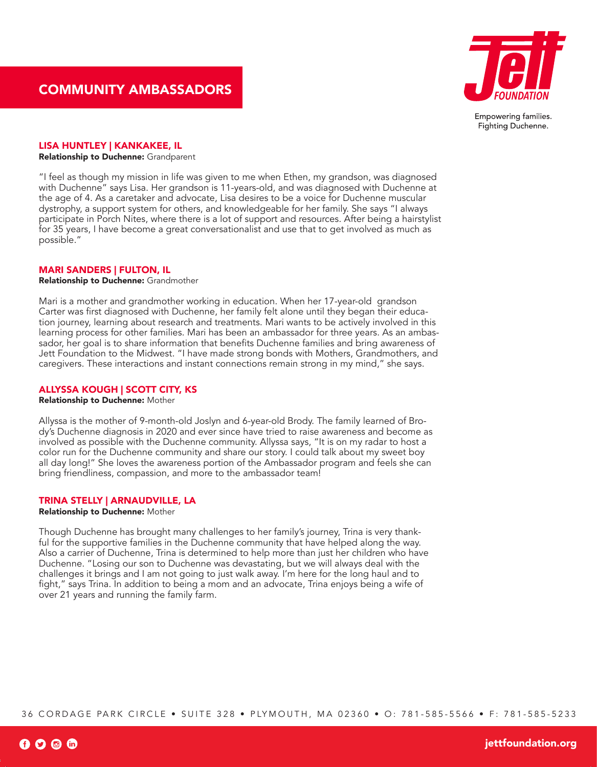

### LISA HUNTLEY | KANKAKEE, IL

Relationship to Duchenne: Grandparent

"I feel as though my mission in life was given to me when Ethen, my grandson, was diagnosed with Duchenne" says Lisa. Her grandson is 11-years-old, and was diagnosed with Duchenne at the age of 4. As a caretaker and advocate, Lisa desires to be a voice for Duchenne muscular dystrophy, a support system for others, and knowledgeable for her family. She says "I always participate in Porch Nites, where there is a lot of support and resources. After being a hairstylist for 35 years, I have become a great conversationalist and use that to get involved as much as possible."

## MARI SANDERS | FULTON, IL

Relationship to Duchenne: Grandmother

Mari is a mother and grandmother working in education. When her 17-year-old grandson Carter was first diagnosed with Duchenne, her family felt alone until they began their education journey, learning about research and treatments. Mari wants to be actively involved in this learning process for other families. Mari has been an ambassador for three years. As an ambassador, her goal is to share information that benefits Duchenne families and bring awareness of Jett Foundation to the Midwest. "I have made strong bonds with Mothers, Grandmothers, and caregivers. These interactions and instant connections remain strong in my mind," she says.

# ALLYSSA KOUGH | SCOTT CITY, KS

Relationship to Duchenne: Mother

Allyssa is the mother of 9-month-old Joslyn and 6-year-old Brody. The family learned of Brody's Duchenne diagnosis in 2020 and ever since have tried to raise awareness and become as involved as possible with the Duchenne community. Allyssa says, "It is on my radar to host a color run for the Duchenne community and share our story. I could talk about my sweet boy all day long!" She loves the awareness portion of the Ambassador program and feels she can bring friendliness, compassion, and more to the ambassador team!

# TRINA STELLY | ARNAUDVILLE, LA

Relationship to Duchenne: Mother

Though Duchenne has brought many challenges to her family's journey, Trina is very thankful for the supportive families in the Duchenne community that have helped along the way. Also a carrier of Duchenne, Trina is determined to help more than just her children who have Duchenne. "Losing our son to Duchenne was devastating, but we will always deal with the challenges it brings and I am not going to just walk away. I'm here for the long haul and to fight," says Trina. In addition to being a mom and an advocate, Trina enjoys being a wife of over 21 years and running the family farm.

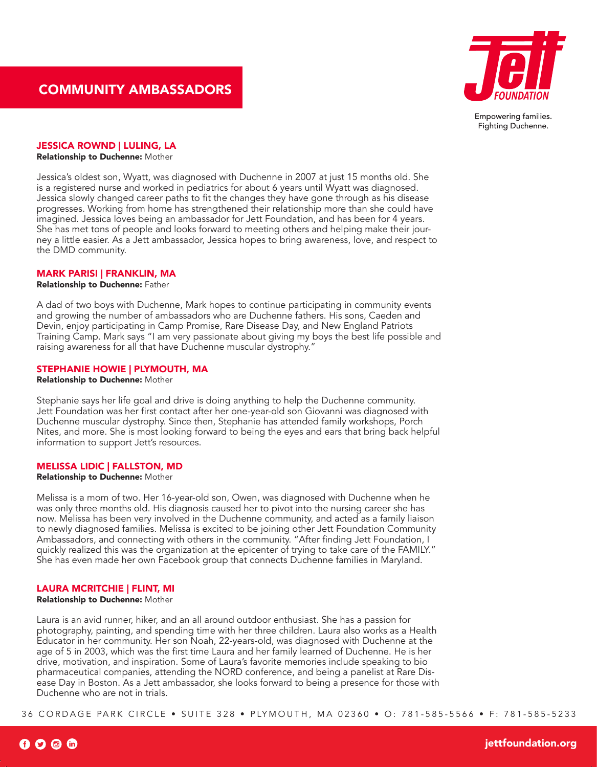

## JESSICA ROWND | LULING, LA

Relationship to Duchenne: Mother

Jessica's oldest son, Wyatt, was diagnosed with Duchenne in 2007 at just 15 months old. She is a registered nurse and worked in pediatrics for about 6 years until Wyatt was diagnosed. Jessica slowly changed career paths to fit the changes they have gone through as his disease progresses. Working from home has strengthened their relationship more than she could have imagined. Jessica loves being an ambassador for Jett Foundation, and has been for 4 years. She has met tons of people and looks forward to meeting others and helping make their journey a little easier. As a Jett ambassador, Jessica hopes to bring awareness, love, and respect to the DMD community.

## MARK PARISI | FRANKLIN, MA

### Relationship to Duchenne: Father

A dad of two boys with Duchenne, Mark hopes to continue participating in community events and growing the number of ambassadors who are Duchenne fathers. His sons, Caeden and Devin, enjoy participating in Camp Promise, Rare Disease Day, and New England Patriots Training Camp. Mark says "I am very passionate about giving my boys the best life possible and raising awareness for all that have Duchenne muscular dystrophy."

## STEPHANIE HOWIE | PLYMOUTH, MA

Relationship to Duchenne: Mother

Stephanie says her life goal and drive is doing anything to help the Duchenne community. Jett Foundation was her first contact after her one-year-old son Giovanni was diagnosed with Duchenne muscular dystrophy. Since then, Stephanie has attended family workshops, Porch Nites, and more. She is most looking forward to being the eyes and ears that bring back helpful information to support Jett's resources.

## MELISSA LIDIC | FALLSTON, MD

## Relationship to Duchenne: Mother

Melissa is a mom of two. Her 16-year-old son, Owen, was diagnosed with Duchenne when he was only three months old. His diagnosis caused her to pivot into the nursing career she has now. Melissa has been very involved in the Duchenne community, and acted as a family liaison to newly diagnosed families. Melissa is excited to be joining other Jett Foundation Community Ambassadors, and connecting with others in the community. "After finding Jett Foundation, I quickly realized this was the organization at the epicenter of trying to take care of the FAMILY." She has even made her own Facebook group that connects Duchenne families in Maryland.

## LAURA MCRITCHIE | FLINT, MI

#### Relationship to Duchenne: Mother

Laura is an avid runner, hiker, and an all around outdoor enthusiast. She has a passion for photography, painting, and spending time with her three children. Laura also works as a Health Educator in her community. Her son Noah, 22-years-old, was diagnosed with Duchenne at the age of 5 in 2003, which was the first time Laura and her family learned of Duchenne. He is her drive, motivation, and inspiration. Some of Laura's favorite memories include speaking to bio pharmaceutical companies, attending the NORD conference, and being a panelist at Rare Disease Day in Boston. As a Jett ambassador, she looks forward to being a presence for those with Duchenne who are not in trials.

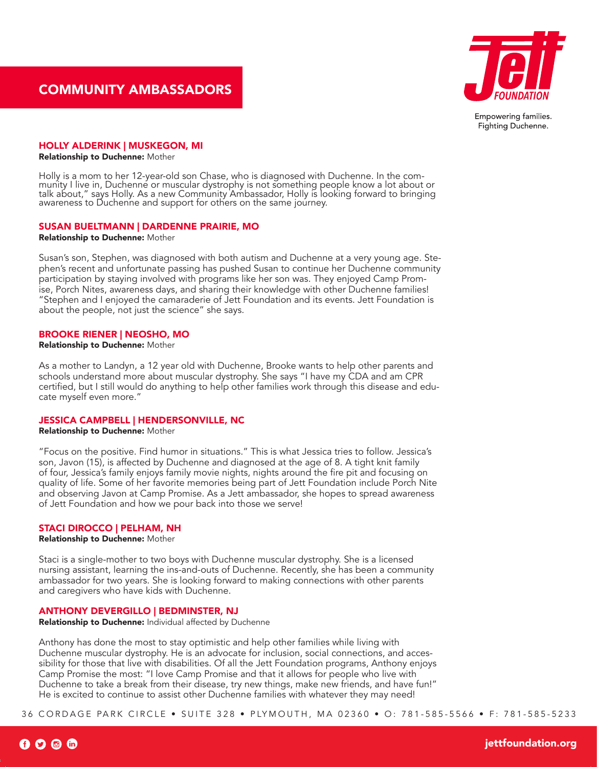

#### HOLLY ALDERINK | MUSKEGON, MI

#### Relationship to Duchenne: Mother

Holly is a mom to her 12-year-old son Chase, who is diagnosed with Duchenne. In the com-<br>munity I live in, Duchenne or muscular dystrophy is not something people know a lot about or talk about," says Holly. As a new Community Ambassador, Holly is looking forward to bringing awareness to Duchenne and support for others on the same journey.

## SUSAN BUELTMANN | DARDENNE PRAIRIE, MO

#### Relationship to Duchenne: Mother

Susan's son, Stephen, was diagnosed with both autism and Duchenne at a very young age. Stephen's recent and unfortunate passing has pushed Susan to continue her Duchenne community participation by staying involved with programs like her son was. They enjoyed Camp Promise, Porch Nites, awareness days, and sharing their knowledge with other Duchenne families! "Stephen and I enjoyed the camaraderie of Jett Foundation and its events. Jett Foundation is about the people, not just the science" she says.

## BROOKE RIENER | NEOSHO, MO

```
Relationship to Duchenne: Mother
```
As a mother to Landyn, a 12 year old with Duchenne, Brooke wants to help other parents and schools understand more about muscular dystrophy. She says "I have my CDA and am CPR certified, but I still would do anything to help other families work through this disease and educate myself even more."

# JESSICA CAMPBELL | HENDERSONVILLE, NC

#### Relationship to Duchenne: Mother

"Focus on the positive. Find humor in situations." This is what Jessica tries to follow. Jessica's son, Javon (15), is affected by Duchenne and diagnosed at the age of 8. A tight knit family of four, Jessica's family enjoys family movie nights, nights around the fire pit and focusing on quality of life. Some of her favorite memories being part of Jett Foundation include Porch Nite and observing Javon at Camp Promise. As a Jett ambassador, she hopes to spread awareness of Jett Foundation and how we pour back into those we serve!

## STACI DIROCCO | PELHAM, NH

#### Relationship to Duchenne: Mother

Staci is a single-mother to two boys with Duchenne muscular dystrophy. She is a licensed nursing assistant, learning the ins-and-outs of Duchenne. Recently, she has been a community ambassador for two years. She is looking forward to making connections with other parents and caregivers who have kids with Duchenne.

# ANTHONY DEVERGILLO | BEDMINSTER, NJ

Relationship to Duchenne: Individual affected by Duchenne

Anthony has done the most to stay optimistic and help other families while living with Duchenne muscular dystrophy. He is an advocate for inclusion, social connections, and accessibility for those that live with disabilities. Of all the Jett Foundation programs, Anthony enjoys Camp Promise the most: "I love Camp Promise and that it allows for people who live with Duchenne to take a break from their disease, try new things, make new friends, and have fun!" He is excited to continue to assist other Duchenne families with whatever they may need!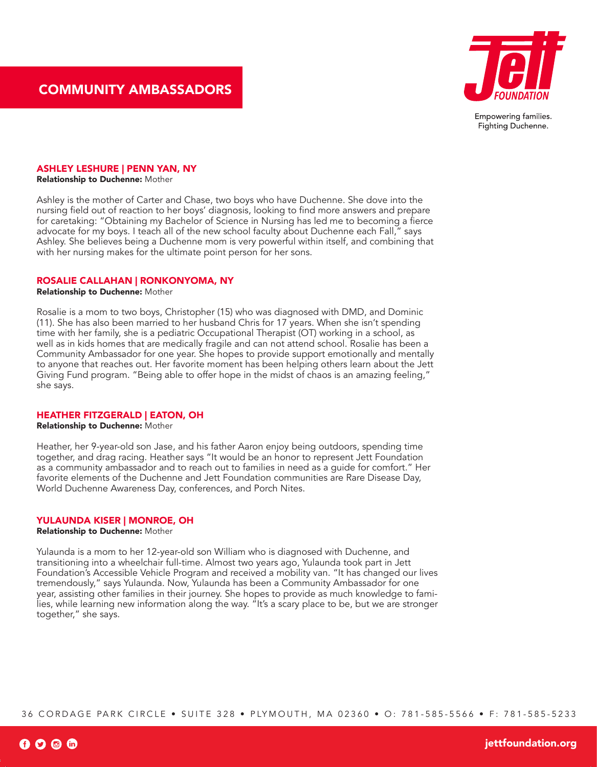

# ASHLEY LESHURE | PENN YAN, NY

Relationship to Duchenne: Mother

Ashley is the mother of Carter and Chase, two boys who have Duchenne. She dove into the nursing field out of reaction to her boys' diagnosis, looking to find more answers and prepare for caretaking: "Obtaining my Bachelor of Science in Nursing has led me to becoming a fierce advocate for my boys. I teach all of the new school faculty about Duchenne each Fall," says Ashley. She believes being a Duchenne mom is very powerful within itself, and combining that with her nursing makes for the ultimate point person for her sons.

## ROSALIE CALLAHAN | RONKONYOMA, NY

Relationship to Duchenne: Mother

Rosalie is a mom to two boys, Christopher (15) who was diagnosed with DMD, and Dominic (11). She has also been married to her husband Chris for 17 years. When she isn't spending time with her family, she is a pediatric Occupational Therapist (OT) working in a school, as well as in kids homes that are medically fragile and can not attend school. Rosalie has been a Community Ambassador for one year. She hopes to provide support emotionally and mentally to anyone that reaches out. Her favorite moment has been helping others learn about the Jett Giving Fund program. "Being able to offer hope in the midst of chaos is an amazing feeling," she says.

#### HEATHER FITZGERALD | EATON, OH

Relationship to Duchenne: Mother

Heather, her 9-year-old son Jase, and his father Aaron enjoy being outdoors, spending time together, and drag racing. Heather says "It would be an honor to represent Jett Foundation as a community ambassador and to reach out to families in need as a guide for comfort." Her favorite elements of the Duchenne and Jett Foundation communities are Rare Disease Day, World Duchenne Awareness Day, conferences, and Porch Nites.

## YULAUNDA KISER | MONROE, OH

Relationship to Duchenne: Mother

Yulaunda is a mom to her 12-year-old son William who is diagnosed with Duchenne, and transitioning into a wheelchair full-time. Almost two years ago, Yulaunda took part in Jett Foundation's Accessible Vehicle Program and received a mobility van. "It has changed our lives tremendously," says Yulaunda. Now, Yulaunda has been a Community Ambassador for one year, assisting other families in their journey. She hopes to provide as much knowledge to families, while learning new information along the way. "It's a scary place to be, but we are stronger together," she says.

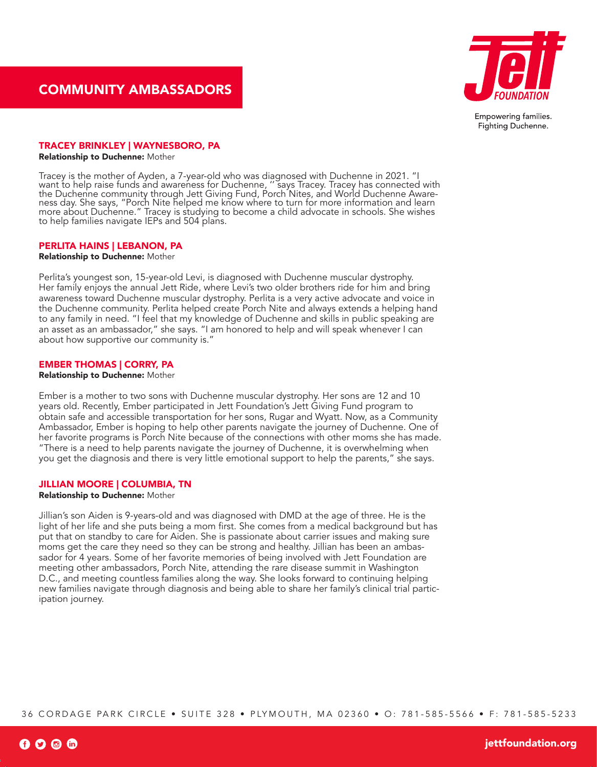

## TRACEY BRINKLEY | WAYNESBORO, PA

Relationship to Duchenne: Mother

Tracey is the mother of Ayden, a 7-year-old who was diagnosed with Duchenne in 2021. "I want to help raise funds and awareness for Duchenne, '' says Tracey. Tracey has connected with the Duchenne community through Jett Giving Fund, Porch Nites, and World Duchenne Aware-<br>ness day. She says, "Porch Nite helped me know where to turn for more information and learn more about Duchenne." Tracey is studying to become a child advocate in schools. She wishes to help families navigate IEPs and 504 plans.

## PERLITA HAINS | LEBANON, PA

Relationship to Duchenne: Mother

Perlita's youngest son, 15-year-old Levi, is diagnosed with Duchenne muscular dystrophy. Her family enjoys the annual Jett Ride, where Levi's two older brothers ride for him and bring awareness toward Duchenne muscular dystrophy. Perlita is a very active advocate and voice in the Duchenne community. Perlita helped create Porch Nite and always extends a helping hand to any family in need. "I feel that my knowledge of Duchenne and skills in public speaking are an asset as an ambassador," she says. "I am honored to help and will speak whenever I can about how supportive our community is."

# EMBER THOMAS | CORRY, PA

Relationship to Duchenne: Mother

Ember is a mother to two sons with Duchenne muscular dystrophy. Her sons are 12 and 10 years old. Recently, Ember participated in Jett Foundation's Jett Giving Fund program to obtain safe and accessible transportation for her sons, Rugar and Wyatt. Now, as a Community Ambassador, Ember is hoping to help other parents navigate the journey of Duchenne. One of her favorite programs is Porch Nite because of the connections with other moms she has made. "There is a need to help parents navigate the journey of Duchenne, it is overwhelming when you get the diagnosis and there is very little emotional support to help the parents," she says.

# JILLIAN MOORE | COLUMBIA, TN

Relationship to Duchenne: Mother

Jillian's son Aiden is 9-years-old and was diagnosed with DMD at the age of three. He is the light of her life and she puts being a mom first. She comes from a medical background but has put that on standby to care for Aiden. She is passionate about carrier issues and making sure moms get the care they need so they can be strong and healthy. Jillian has been an ambassador for 4 years. Some of her favorite memories of being involved with Jett Foundation are meeting other ambassadors, Porch Nite, attending the rare disease summit in Washington D.C., and meeting countless families along the way. She looks forward to continuing helping new families navigate through diagnosis and being able to share her family's clinical trial participation journey.